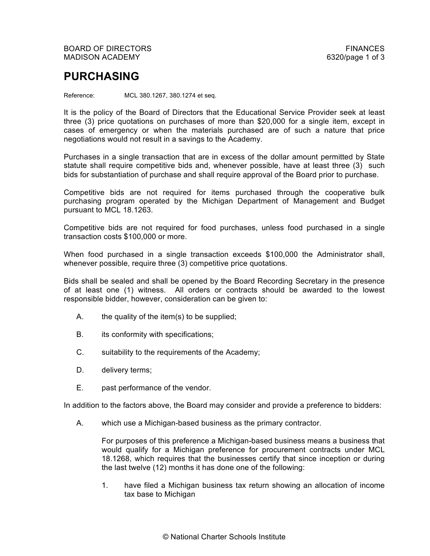## **PURCHASING**

Reference: MCL 380.1267, 380.1274 et seq.

It is the policy of the Board of Directors that the Educational Service Provider seek at least three (3) price quotations on purchases of more than \$20,000 for a single item, except in cases of emergency or when the materials purchased are of such a nature that price negotiations would not result in a savings to the Academy.

Purchases in a single transaction that are in excess of the dollar amount permitted by State statute shall require competitive bids and, whenever possible, have at least three (3) such bids for substantiation of purchase and shall require approval of the Board prior to purchase.

Competitive bids are not required for items purchased through the cooperative bulk purchasing program operated by the Michigan Department of Management and Budget pursuant to MCL 18.1263.

Competitive bids are not required for food purchases, unless food purchased in a single transaction costs \$100,000 or more.

When food purchased in a single transaction exceeds \$100,000 the Administrator shall, whenever possible, require three (3) competitive price quotations.

Bids shall be sealed and shall be opened by the Board Recording Secretary in the presence of at least one (1) witness. All orders or contracts should be awarded to the lowest responsible bidder, however, consideration can be given to:

- A. the quality of the item(s) to be supplied;
- B. its conformity with specifications;
- C. suitability to the requirements of the Academy;
- D. delivery terms;
- E. past performance of the vendor.

In addition to the factors above, the Board may consider and provide a preference to bidders:

A. which use a Michigan-based business as the primary contractor.

For purposes of this preference a Michigan-based business means a business that would qualify for a Michigan preference for procurement contracts under MCL 18.1268, which requires that the businesses certify that since inception or during the last twelve (12) months it has done one of the following:

1. have filed a Michigan business tax return showing an allocation of income tax base to Michigan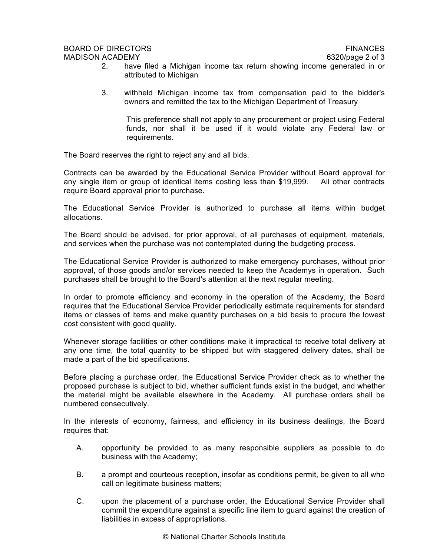## BOARD OF DIRECTORS FINANCES MADISON ACADEMY 6320/page 2 of 3

- 
- 2. have filed a Michigan income tax return showing income generated in or attributed to Michigan
- 3. withheld Michigan income tax from compensation paid to the bidder's owners and remitted the tax to the Michigan Department of Treasury

This preference shall not apply to any procurement or project using Federal funds, nor shall it be used if it would violate any Federal law or requirements.

The Board reserves the right to reject any and all bids.

Contracts can be awarded by the Educational Service Provider without Board approval for any single item or group of identical items costing less than \$19,999. All other contracts require Board approval prior to purchase.

The Educational Service Provider is authorized to purchase all items within budget allocations.

The Board should be advised, for prior approval, of all purchases of equipment, materials, and services when the purchase was not contemplated during the budgeting process.

The Educational Service Provider is authorized to make emergency purchases, without prior approval, of those goods and/or services needed to keep the Academys in operation. Such purchases shall be brought to the Board's attention at the next regular meeting.

In order to promote efficiency and economy in the operation of the Academy, the Board requires that the Educational Service Provider periodically estimate requirements for standard items or classes of items and make quantity purchases on a bid basis to procure the lowest cost consistent with good quality.

Whenever storage facilities or other conditions make it impractical to receive total delivery at any one time, the total quantity to be shipped but with staggered delivery dates, shall be made a part of the bid specifications.

Before placing a purchase order, the Educational Service Provider check as to whether the proposed purchase is subject to bid, whether sufficient funds exist in the budget, and whether the material might be available elsewhere in the Academy. All purchase orders shall be numbered consecutively.

In the interests of economy, fairness, and efficiency in its business dealings, the Board requires that:

- A. opportunity be provided to as many responsible suppliers as possible to do business with the Academy;
- B. a prompt and courteous reception, insofar as conditions permit, be given to all who call on legitimate business matters;
- C. upon the placement of a purchase order, the Educational Service Provider shall commit the expenditure against a specific line item to guard against the creation of liabilities in excess of appropriations.

© National Charter Schools Institute